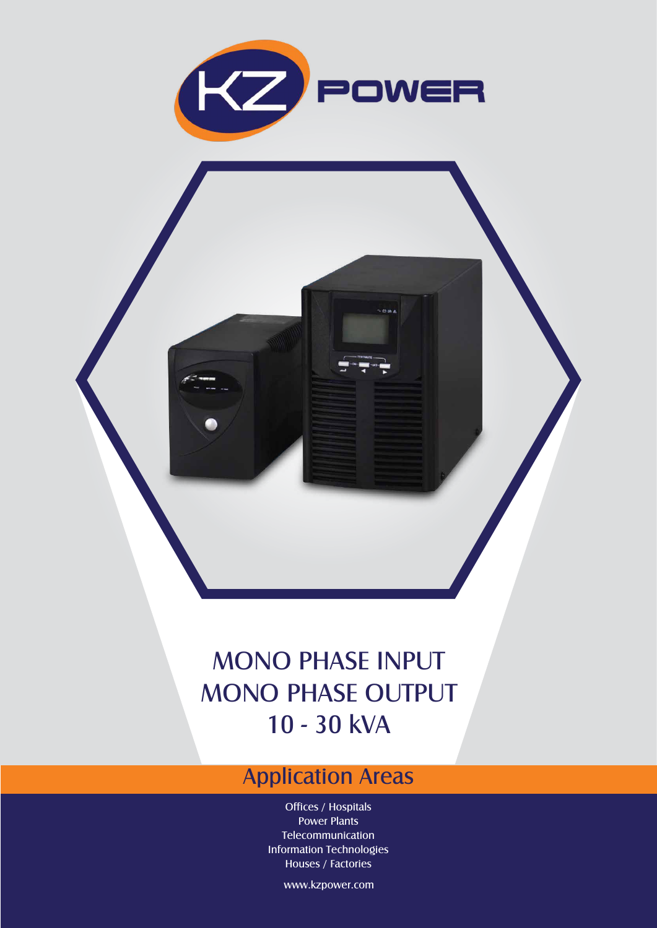

 $\sim$ oa

## MONO PHASE INPUT MONO PHASE OUTPUT 10 - 30 kVA

## Application Areas

Offices / Hospitals Power Plants Telecommunication Information Technologies Houses / Factories

www.kzpower.com